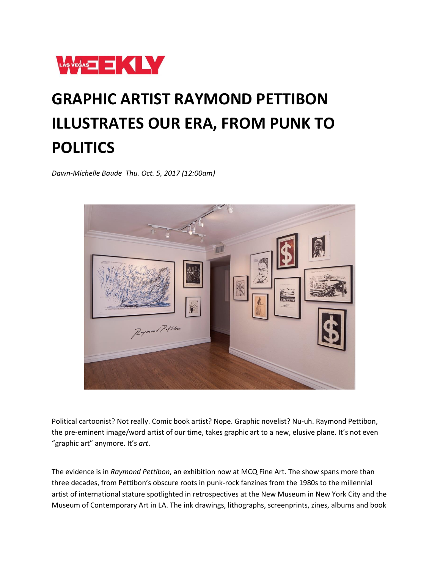

## **GRAPHIC ARTIST RAYMOND PETTIBON ILLUSTRATES OUR ERA, FROM PUNK TO POLITICS**

*Dawn-Michelle Baude Thu. Oct. 5, 2017 (12:00am)*



Political cartoonist? Not really. Comic book artist? Nope. Graphic novelist? Nu-uh. Raymond Pettibon, the pre-eminent image/word artist of our time, takes graphic art to a new, elusive plane. It's not even "graphic art" anymore. It's *art*.

The evidence is in *Raymond Pettibon*, an exhibition now at MCQ Fine Art. The show spans more than three decades, from Pettibon's obscure roots in punk-rock fanzines from the 1980s to the millennial artist of international stature spotlighted in retrospectives at the New Museum in New York City and the Museum of Contemporary Art in LA. The ink drawings, lithographs, screenprints, zines, albums and book